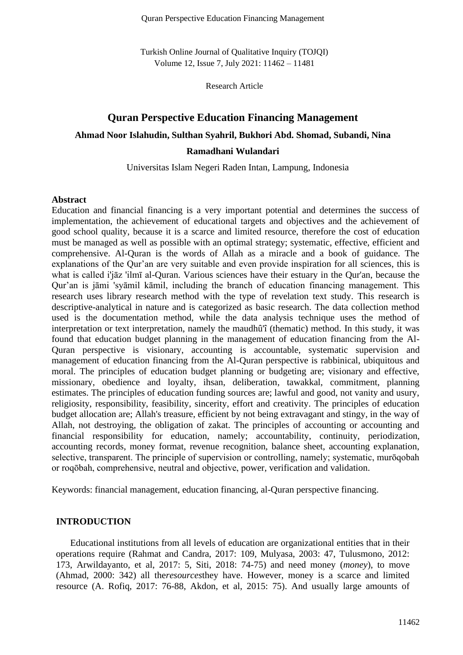Quran Perspective Education Financing Management

Turkish Online Journal of Qualitative Inquiry (TOJQI) Volume 12, Issue 7, July 2021: 11462 – 11481

Research Article

# **Quran Perspective Education Financing Management**

## **Ahmad Noor Islahudin, Sulthan Syahril, Bukhori Abd. Shomad, Subandi, Nina**

## **Ramadhani Wulandari**

Universitas Islam Negeri Raden Intan, Lampung, Indonesia

# **Abstract**

Education and financial financing is a very important potential and determines the success of implementation, the achievement of educational targets and objectives and the achievement of good school quality, because it is a scarce and limited resource, therefore the cost of education must be managed as well as possible with an optimal strategy; systematic, effective, efficient and comprehensive. Al-Quran is the words of Allah as a miracle and a book of guidance. The explanations of the Qur'an are very suitable and even provide inspiration for all sciences, this is what is called i'jāz 'ilmī al-Quran. Various sciences have their estuary in the Qur'an, because the Qur'an is jāmi 'syāmil kāmil, including the branch of education financing management. This research uses library research method with the type of revelation text study. This research is descriptive-analytical in nature and is categorized as basic research. The data collection method used is the documentation method, while the data analysis technique uses the method of interpretation or text interpretation, namely the maudhû'î (thematic) method. In this study, it was found that education budget planning in the management of education financing from the Al-Quran perspective is visionary, accounting is accountable, systematic supervision and management of education financing from the Al-Quran perspective is rabbinical, ubiquitous and moral. The principles of education budget planning or budgeting are; visionary and effective, missionary, obedience and loyalty, ihsan, deliberation, tawakkal, commitment, planning estimates. The principles of education funding sources are; lawful and good, not vanity and usury, religiosity, responsibility, feasibility, sincerity, effort and creativity. The principles of education budget allocation are; Allah's treasure, efficient by not being extravagant and stingy, in the way of Allah, not destroying, the obligation of zakat. The principles of accounting or accounting and financial responsibility for education, namely; accountability, continuity, periodization, accounting records, money format, revenue recognition, balance sheet, accounting explanation, selective, transparent. The principle of supervision or controlling, namely; systematic, murōqobah or roqōbah, comprehensive, neutral and objective, power, verification and validation.

Keywords: financial management, education financing, al-Quran perspective financing.

## **INTRODUCTION**

Educational institutions from all levels of education are organizational entities that in their operations require (Rahmat and Candra, 2017: 109, Mulyasa, 2003: 47, Tulusmono, 2012: 173, Arwildayanto, et al, 2017: 5, Siti, 2018: 74-75) and need money (*money*), to move (Ahmad, 2000: 342) all the*resources*they have. However, money is a scarce and limited resource (A. Rofiq, 2017: 76-88, Akdon, et al, 2015: 75). And usually large amounts of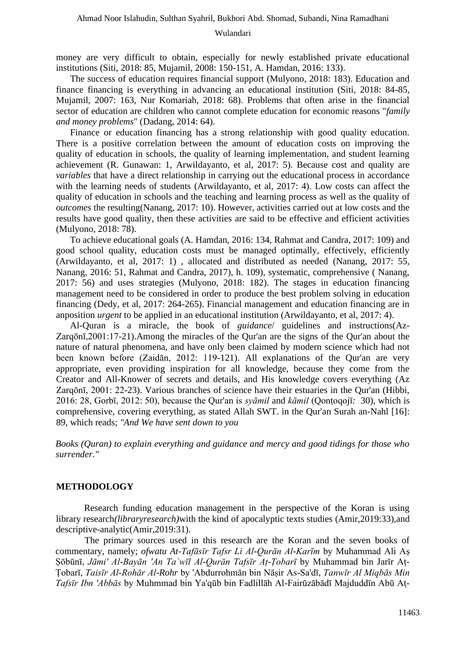money are very difficult to obtain, especially for newly established private educational institutions (Siti, 2018: 85, Mujamil, 2008: 150-151, A. Hamdan, 2016: 133).

The success of education requires financial support (Mulyono, 2018: 183). Education and finance financing is everything in advancing an educational institution (Siti, 2018: 84-85, Mujamil, 2007: 163, Nur Komariah, 2018: 68). Problems that often arise in the financial sector of education are children who cannot complete education for economic reasons "*family and money problems*" (Dadang, 2014: 64).

Finance or education financing has a strong relationship with good quality education. There is a positive correlation between the amount of education costs on improving the quality of education in schools, the quality of learning implementation, and student learning achievement (R. Gunawan: 1, Arwildayanto, et al, 2017: 5). Because cost and quality are *variables* that have a direct relationship in carrying out the educational process in accordance with the learning needs of students (Arwildayanto, et al, 2017: 4). Low costs can affect the quality of education in schools and the teaching and learning process as well as the quality of *outcomes* the resulting(Nanang, 2017: 10). However, activities carried out at low costs and the results have good quality, then these activities are said to be effective and efficient activities (Mulyono, 2018: 78).

To achieve educational goals (A. Hamdan, 2016: 134, Rahmat and Candra, 2017: 109) and good school quality, education costs must be managed optimally, effectively, efficiently (Arwildayanto, et al, 2017: 1) , allocated and distributed as needed (Nanang, 2017: 55, Nanang, 2016: 51, Rahmat and Candra, 2017), h. 109), systematic, comprehensive ( Nanang, 2017: 56) and uses strategies (Mulyono, 2018: 182). The stages in education financing management need to be considered in order to produce the best problem solving in education financing (Dedy, et al, 2017: 264-265). Financial management and education financing are in anposition *urgent* to be applied in an educational institution (Arwildayanto, et al, 2017: 4).

Al-Quran is a miracle, the book of *guidance*/ guidelines and instructions(Az-Zarqōnī,2001:17-21).Among the miracles of the Qur'an are the signs of the Qur'an about the nature of natural phenomena, and have only been claimed by modern science which had not been known before (Zaidān, 2012: 119-121). All explanations of the Qur'an are very appropriate, even providing inspiration for all knowledge, because they come from the Creator and All-Knower of secrets and details, and His knowledge covers everything (Az Zarqōnī, 2001: 22-23). Various branches of science have their estuaries in the Qur'an (Hibbi, 2016: 28, Gorbī, 2012: 50), because the Qur'an is *syāmil* and *kāmil* (Qonṭoqojī*:* 30)*,* which is comprehensive, covering everything, as stated Allah SWT. in the Qur'an Surah an-Nahl [16]: 89, which reads; *"And We have sent down to you* 

*Books (Quran) to explain everything and guidance and mercy and good tidings for those who surrender."* 

# **METHODOLOGY**

Research funding education management in the perspective of the Koran is using library research*(libraryresearch)*with the kind of apocalyptic texts studies (Amir,2019:33),and descriptive-analytic(Amir,2019:31).

The primary sources used in this research are the Koran and the seven books of commentary, namely; *ofwatu At-Tafāsīr Tafsr Li Al-Qurān Al-Karīm* by Muhammad Ali Aṣ Ṣōbūnī, *Jāmi' Al-Bayān 'An Ta`wīl Al-Qurān Tafsīr Aṭ-Ṭobarī* by Muhammad bin Jarīr Aṭ-Ṭobarī, *Taisīr Al-Rohār Al-Rohr* by 'Abdurrohmān bin Nāṣir As-Sa'dī, *Tanwīr Al Miqbās Min Tafsīr Ibn 'Abbās* by Muhmmad bin Ya'qūb bin Fadlillāh Al-Fairūzābādī Majduddīn Abū Aṭ-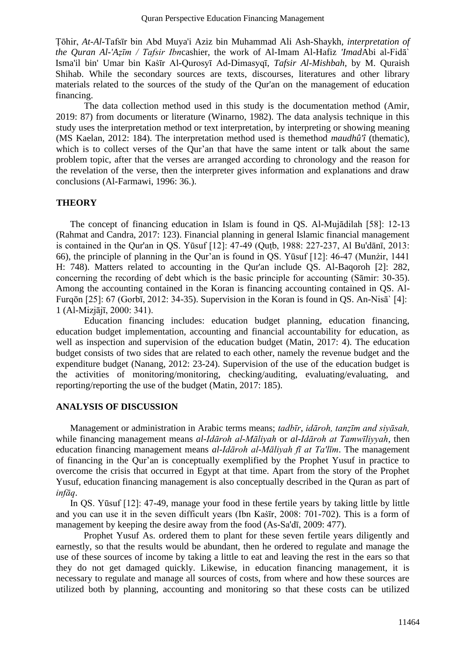Ṭōhir, *At-Al-*Tafsīr bin Abd Muya'i Aziz bin Muhammad Ali Ash-Shaykh, *interpretation of the Quran Al-'Aẓīm / Tafsir Ibn*cashier, the work of Al-Imam Al-Hafiz *'Imad*Abi al-Fidā` Isma'il bin' Umar bin Kaṡīr Al-Qurosyī Ad-Dimasyqī, *Tafsir Al-Mishbah*, by M. Quraish Shihab. While the secondary sources are texts, discourses, literatures and other library materials related to the sources of the study of the Qur'an on the management of education financing.

The data collection method used in this study is the documentation method (Amir, 2019: 87) from documents or literature (Winarno, 1982). The data analysis technique in this study uses the interpretation method or text interpretation, by interpreting or showing meaning (MS Kaelan, 2012: 184). The interpretation method used is themethod *maudhû'î* (thematic), which is to collect verses of the Qur'an that have the same intent or talk about the same problem topic, after that the verses are arranged according to chronology and the reason for the revelation of the verse, then the interpreter gives information and explanations and draw conclusions (Al-Farmawi, 1996: 36.).

# **THEORY**

The concept of financing education in Islam is found in QS. Al-Mujādilah [58]: 12-13 (Rahmat and Candra, 2017: 123). Financial planning in general Islamic financial management is contained in the Qur'an in QS. Yūsuf [12]: 47-49 (Quṭb, 1988: 227-237, Al Bu'dānī, 2013: 66), the principle of planning in the Qur'an is found in QS. Yūsuf [12]: 46-47 (Munżir, 1441 H: 748). Matters related to accounting in the Qur'an include QS. Al-Baqoroh [2]: 282, concerning the recording of debt which is the basic principle for accounting (Sāmir: 30-35). Among the accounting contained in the Koran is financing accounting contained in QS. Al-Furqōn [25]: 67 (Gorbī, 2012: 34-35). Supervision in the Koran is found in QS. An-Nisā` [4]: 1 (Al-Mizjājī, 2000: 341).

Education financing includes: education budget planning, education financing, education budget implementation, accounting and financial accountability for education, as well as inspection and supervision of the education budget (Matin, 2017: 4). The education budget consists of two sides that are related to each other, namely the revenue budget and the expenditure budget (Nanang, 2012: 23-24). Supervision of the use of the education budget is the activities of monitoring/monitoring, checking/auditing, evaluating/evaluating, and reporting/reporting the use of the budget (Matin, 2017: 185).

# **ANALYSIS OF DISCUSSION**

Management or administration in Arabic terms means; *tadbīr*, *idāroh, tanẓīm and siyāsah,*  while financing management means *al-Idāroh al-Māliyah* or *al-Idāroh at Tamwīliyyah*, then education financing management means *al-Idāroh al-Māliyah fī at Ta'līm*. The management of financing in the Qur'an is conceptually exemplified by the Prophet Yusuf in practice to overcome the crisis that occurred in Egypt at that time. Apart from the story of the Prophet Yusuf, education financing management is also conceptually described in the Quran as part of *infāq*.

In QS. Yūsuf [12]: 47-49, manage your food in these fertile years by taking little by little and you can use it in the seven difficult years (Ibn Kaṡīr, 2008: 701-702). This is a form of management by keeping the desire away from the food (As-Sa'dī, 2009: 477).

Prophet Yusuf As. ordered them to plant for these seven fertile years diligently and earnestly, so that the results would be abundant, then he ordered to regulate and manage the use of these sources of income by taking a little to eat and leaving the rest in the ears so that they do not get damaged quickly. Likewise, in education financing management, it is necessary to regulate and manage all sources of costs, from where and how these sources are utilized both by planning, accounting and monitoring so that these costs can be utilized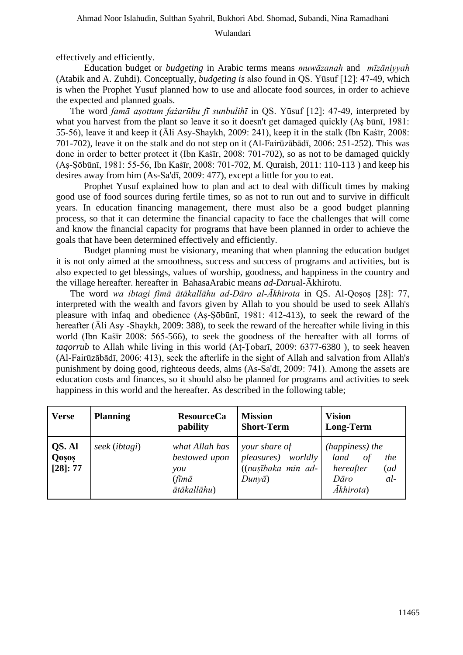effectively and efficiently.

Education budget or *budgeting* in Arabic terms means *muwāzanah* and *mīzāniyyah*  (Atabik and A. Zuhdi)*.* Conceptually, *budgeting is* also found in QS. Yūsuf [12]: 47-49, which is when the Prophet Yusuf planned how to use and allocate food sources, in order to achieve the expected and planned goals.

The word *famā aṣottum fażarūhu fī sunbulihī* in QS. Yūsuf [12]: 47-49, interpreted by what you harvest from the plant so leave it so it doesn't get damaged quickly (Aṣ būnī, 1981: 55-56), leave it and keep it (Āli Asy-Shaykh, 2009: 241), keep it in the stalk (Ibn Kaṡīr, 2008: 701-702), leave it on the stalk and do not step on it (Al-Fairūzābādī, 2006: 251-252). This was done in order to better protect it (Ibn Kastir, 2008: 701-702), so as not to be damaged quickly (Aṣ-Ṣōbūnī, 1981: 55-56, Ibn Kaṡīr, 2008: 701-702, M. Quraish, 2011: 110-113 ) and keep his desires away from him (As-Sa'dī, 2009: 477), except a little for you to eat.

Prophet Yusuf explained how to plan and act to deal with difficult times by making good use of food sources during fertile times, so as not to run out and to survive in difficult years. In education financing management, there must also be a good budget planning process, so that it can determine the financial capacity to face the challenges that will come and know the financial capacity for programs that have been planned in order to achieve the goals that have been determined effectively and efficiently.

Budget planning must be visionary, meaning that when planning the education budget it is not only aimed at the smoothness, success and success of programs and activities, but is also expected to get blessings, values of worship, goodness, and happiness in the country and the village hereafter. hereafter in BahasaArabic means *ad-Daru*al-Ākhirotu.

The word *wa ibtagi fīmā ātākallāhu ad-Dāro al-Ākhirota* in QS. Al-Qoṣoṣ [28]: 77, interpreted with the wealth and favors given by Allah to you should be used to seek Allah's pleasure with infaq and obedience (Aṣ-Ṣōbūnī, 1981: 412-413), to seek the reward of the hereafter (Āli Asy -Shaykh, 2009: 388), to seek the reward of the hereafter while living in this world (Ibn Kaṡīr 2008: 565-566), to seek the goodness of the hereafter with all forms of *taqorrub* to Allah while living in this world (Aṭ-Ṭobarī, 2009: 6377-6380 ), to seek heaven (Al-Fairūzābādī, 2006: 413), seek the afterlife in the sight of Allah and salvation from Allah's punishment by doing good, righteous deeds, alms (As-Sa'dī, 2009: 741). Among the assets are education costs and finances, so it should also be planned for programs and activities to seek happiness in this world and the hereafter. As described in the following table;

| <b>Verse</b>                | <b>Planning</b> | <b>ResourceCa</b><br>pability                                                      | <b>Mission</b><br><b>Short-Term</b>                                        | <b>Vision</b><br><b>Long-Term</b>                                                                      |
|-----------------------------|-----------------|------------------------------------------------------------------------------------|----------------------------------------------------------------------------|--------------------------------------------------------------------------------------------------------|
| QS. Al<br>Qosos<br>[28]: 77 | seek (ibtagi)   | what Allah has<br>bestowed upon<br>you<br>$(f\bar{\imath}m\bar{a})$<br>ātākallāhu) | your share of<br>pleasures) worldly<br>((nașībaka min ad-<br>$Duny\bar{a}$ | (happiness) the<br>land<br>$\sigma f$<br>the<br>hereafter<br>(ad<br>$al-$<br>Dāro<br><i>Ākhirota</i> ) |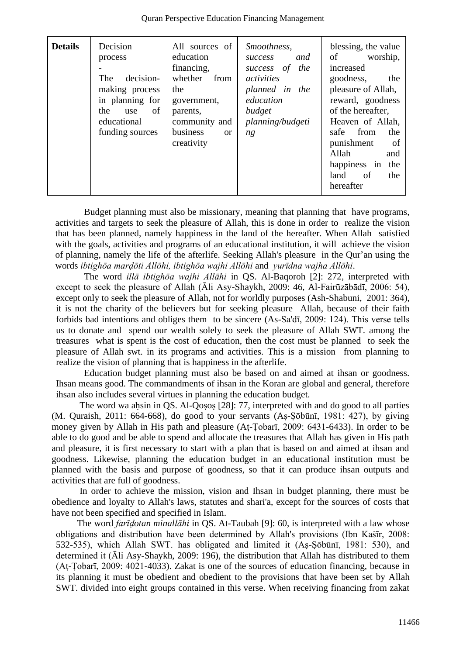| <b>Details</b> | Decision<br>process<br>decision-<br>The<br>making process<br>in planning for<br>of<br>the<br><i>use</i><br>educational<br>funding sources | All sources of<br>education<br>financing,<br>whether<br>from<br>the<br>government,<br>parents,<br>community and<br>business<br>$\alpha$<br>creativity | Smoothness,<br>and<br><b>SUCCESS</b><br>the<br>success of<br>activities<br>planned in the<br>education<br>budget<br>planning/budgeti<br>ng | blessing, the value<br>of<br>worship,<br>increased<br>goodness,<br>the<br>pleasure of Allah,<br>reward, goodness<br>of the hereafter,<br>Heaven of Allah,<br>from<br>safe<br>the<br>punishment<br>-of<br>Allah<br>and<br>the<br>happiness in<br>of<br>the<br>land<br>hereafter |
|----------------|-------------------------------------------------------------------------------------------------------------------------------------------|-------------------------------------------------------------------------------------------------------------------------------------------------------|--------------------------------------------------------------------------------------------------------------------------------------------|--------------------------------------------------------------------------------------------------------------------------------------------------------------------------------------------------------------------------------------------------------------------------------|

Quran Perspective Education Financing Management

Budget planning must also be missionary, meaning that planning that have programs, activities and targets to seek the pleasure of Allah, this is done in order to realize the vision that has been planned, namely happiness in the land of the hereafter. When Allah satisfied with the goals, activities and programs of an educational institution, it will achieve the vision of planning, namely the life of the afterlife. Seeking Allah's pleasure in the Qur'an using the words *ibtighōa marḍōti Allōhi, ibtighōa wajhi Allōhi* and *yurīdna wajha Allōhi*.

The word *illā ibtighōa wajhi Allāhi* in QS. Al-Baqoroh [2]: 272, interpreted with except to seek the pleasure of Allah (Āli Asy-Shaykh, 2009: 46, Al-Fairūzābādī, 2006: 54), except only to seek the pleasure of Allah, not for worldly purposes (Ash-Shabuni, 2001: 364), it is not the charity of the believers but for seeking pleasure Allah, because of their faith forbids bad intentions and obliges them to be sincere (As-Sa'dī, 2009: 124). This verse tells us to donate and spend our wealth solely to seek the pleasure of Allah SWT. among the treasures what is spent is the cost of education, then the cost must be planned to seek the pleasure of Allah swt. in its programs and activities. This is a mission from planning to realize the vision of planning that is happiness in the afterlife.

Education budget planning must also be based on and aimed at ihsan or goodness. Ihsan means good. The commandments of ihsan in the Koran are global and general, therefore ihsan also includes several virtues in planning the education budget.

The word wa ahsin in QS. Al-Qosos [28]: 77, interpreted with and do good to all parties (M. Quraish, 2011: 664-668), do good to your servants (Aṣ-Ṣōbūnī, 1981: 427), by giving money given by Allah in His path and pleasure (Aṭ-Ṭobarī, 2009: 6431-6433). In order to be able to do good and be able to spend and allocate the treasures that Allah has given in His path and pleasure, it is first necessary to start with a plan that is based on and aimed at ihsan and goodness. Likewise, planning the education budget in an educational institution must be planned with the basis and purpose of goodness, so that it can produce ihsan outputs and activities that are full of goodness.

In order to achieve the mission, vision and Ihsan in budget planning, there must be obedience and loyalty to Allah's laws, statutes and shari'a, except for the sources of costs that have not been specified and specified in Islam.

The word *farīḍotan minallāhi* in QS. At-Taubah [9]: 60, is interpreted with a law whose obligations and distribution have been determined by Allah's provisions (Ibn Kasir, 2008: 532-535), which Allah SWT. has obligated and limited it (Aṣ-Ṣōbūnī, 1981: 530), and determined it (Āli Asy-Shaykh, 2009: 196), the distribution that Allah has distributed to them (Aṭ-Ṭobarī, 2009: 4021-4033). Zakat is one of the sources of education financing, because in its planning it must be obedient and obedient to the provisions that have been set by Allah SWT. divided into eight groups contained in this verse. When receiving financing from zakat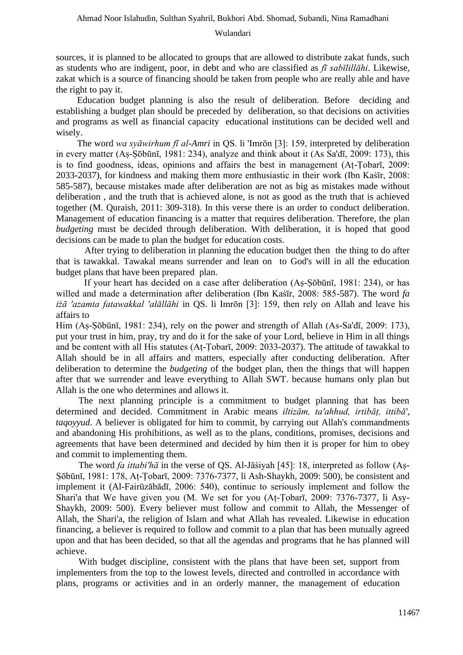sources, it is planned to be allocated to groups that are allowed to distribute zakat funds, such as students who are indigent, poor, in debt and who are classified as *fī sabīlillāhi*. Likewise, zakat which is a source of financing should be taken from people who are really able and have the right to pay it.

Education budget planning is also the result of deliberation. Before deciding and establishing a budget plan should be preceded by deliberation, so that decisions on activities and programs as well as financial capacity educational institutions can be decided well and wisely.

The word *wa syāwirhum fī al-Amri* in QS. li 'Imrōn [3]: 159, interpreted by deliberation in every matter (Aṣ-Ṣōbūnī, 1981: 234), analyze and think about it (As Sa'dī, 2009: 173), this is to find goodness, ideas, opinions and affairs the best in management (Aṭ-Ṭobarī, 2009: 2033-2037), for kindness and making them more enthusiastic in their work (Ibn Kaṡīr, 2008: 585-587), because mistakes made after deliberation are not as big as mistakes made without deliberation , and the truth that is achieved alone, is not as good as the truth that is achieved together (M. Quraish, 2011: 309-318). In this verse there is an order to conduct deliberation. Management of education financing is a matter that requires deliberation. Therefore, the plan *budgeting* must be decided through deliberation. With deliberation, it is hoped that good decisions can be made to plan the budget for education costs.

After trying to deliberation in planning the education budget then the thing to do after that is tawakkal. Tawakal means surrender and lean on to God's will in all the education budget plans that have been prepared plan.

If your heart has decided on a case after deliberation (Aṣ-Ṣōbūnī, 1981: 234), or has willed and made a determination after deliberation (Ibn Kaṡīr, 2008: 585-587). The word *fa iżā 'azamta fatawakkal 'alāllāhi* in QS. li Imrōn [3]: 159, then rely on Allah and leave his affairs to

Him (Aṣ-Ṣōbūnī, 1981: 234), rely on the power and strength of Allah (As-Sa'dī, 2009: 173), put your trust in him, pray, try and do it for the sake of your Lord, believe in Him in all things and be content with all His statutes (Aṭ-Ṭobarī, 2009: 2033-2037). The attitude of tawakkal to Allah should be in all affairs and matters, especially after conducting deliberation. After deliberation to determine the *budgeting* of the budget plan, then the things that will happen after that we surrender and leave everything to Allah SWT. because humans only plan but Allah is the one who determines and allows it.

The next planning principle is a commitment to budget planning that has been determined and decided. Commitment in Arabic means *iltizām, ta'ahhud, irtibāṭ, ittibā', tagoyyud*. A believer is obligated for him to commit, by carrying out Allah's commandments and abandoning His prohibitions, as well as to the plans, conditions, promises, decisions and agreements that have been determined and decided by him then it is proper for him to obey and commit to implementing them.

The word *fa ittabi'hā* in the verse of QS. Al-Jāṡiyah [45]: 18, interpreted as follow (Aṣ-Ṣōbūnī, 1981: 178, Aṭ-Ṭobarī, 2009: 7376-7377, li Ash-Shaykh, 2009: 500), be consistent and implement it (Al-Fairūzābādī, 2006: 540), continue to seriously implement and follow the Shari'a that We have given you (M. We set for you (Aṭ-Ṭobarī, 2009: 7376-7377, li Asy-Shaykh, 2009: 500). Every believer must follow and commit to Allah, the Messenger of Allah, the Shari'a, the religion of Islam and what Allah has revealed. Likewise in education financing, a believer is required to follow and commit to a plan that has been mutually agreed upon and that has been decided, so that all the agendas and programs that he has planned will achieve.

With budget discipline, consistent with the plans that have been set, support from implementers from the top to the lowest levels, directed and controlled in accordance with plans, programs or activities and in an orderly manner, the management of education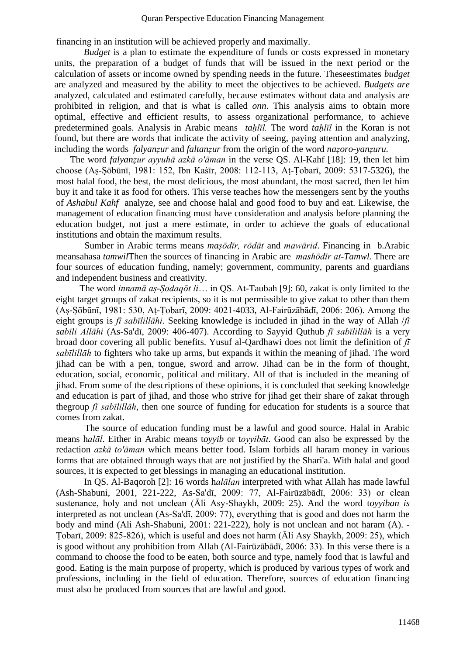financing in an institution will be achieved properly and maximally.

*Budget* is a plan to estimate the expenditure of funds or costs expressed in monetary units, the preparation of a budget of funds that will be issued in the next period or the calculation of assets or income owned by spending needs in the future. Theseestimates *budget*  are analyzed and measured by the ability to meet the objectives to be achieved. *Budgets are*  analyzed, calculated and estimated carefully, because estimates without data and analysis are prohibited in religion, and that is what is called *onn*. This analysis aims to obtain more optimal, effective and efficient results, to assess organizational performance, to achieve predetermined goals. Analysis in Arabic means *taḥlīl.* The word *taḥlīl* in the Koran is not found, but there are words that indicate the activity of seeing, paying attention and analyzing, including the words *falyanẓur* and *faltanẓur* from the origin of the word *naẓoro-yanẓuru.* 

The word *falyanẓur ayyuhā azkā o'āman* in the verse QS. Al-Kahf [18]: 19, then let him choose (Aṣ-Ṣōbūnī, 1981: 152, Ibn Kaṡīr, 2008: 112-113, Aṭ-Ṭobarī, 2009: 5317-5326), the most halal food, the best, the most delicious, the most abundant, the most sacred, then let him buy it and take it as food for others. This verse teaches how the messengers sent by the youths of *Ashabul Kahf* analyze, see and choose halal and good food to buy and eat. Likewise, the management of education financing must have consideration and analysis before planning the education budget, not just a mere estimate, in order to achieve the goals of educational institutions and obtain the maximum results.

Sumber in Arabic terms means *maṣōdīr, rōdāt* and *mawārid*. Financing in b.Arabic meansahasa *tamwil*Then the sources of financing in Arabic are *mashōdīr at-Tamwl.* There are four sources of education funding, namely; government, community, parents and guardians and independent business and creativity.

The word *innamā aṣ-Ṣodaqōt li*… in QS. At-Taubah [9]: 60, zakat is only limited to the eight target groups of zakat recipients, so it is not permissible to give zakat to other than them (Aṣ-Ṣōbūnī, 1981: 530, Aṭ-Ṭobarī, 2009: 4021-4033, Al-Fairūzābādī, 2006: 206). Among the eight groups is *fī sabīlillāhi*. Seeking knowledge is included in jihad in the way of Allah /*fī sabīli Allāhi* (As-Sa'dī, 2009: 406-407). According to Sayyid Quthub *fī sabīlillāh* is a very broad door covering all public benefits. Yusuf al-Qardhawi does not limit the definition of *fī sabīlillāh* to fighters who take up arms, but expands it within the meaning of jihad. The word jihad can be with a pen, tongue, sword and arrow. Jihad can be in the form of thought, education, social, economic, political and military. All of that is included in the meaning of jihad. From some of the descriptions of these opinions, it is concluded that seeking knowledge and education is part of jihad, and those who strive for jihad get their share of zakat through thegroup *fī sabīlillāh*, then one source of funding for education for students is a source that comes from zakat.

The source of education funding must be a lawful and good source. Halal in Arabic means h*alāl*. Either in Arabic means t*oyyib* or t*oyyibāt*. Good can also be expressed by the redaction *azkā to'āman* which means better food. Islam forbids all haram money in various forms that are obtained through ways that are not justified by the Shari'a. With halal and good sources, it is expected to get blessings in managing an educational institution.

In QS. Al-Baqoroh [2]: 16 words h*alālan* interpreted with what Allah has made lawful (Ash-Shabuni, 2001, 221-222, As-Sa'dī, 2009: 77, Al-Fairūzābādī, 2006: 33) or clean sustenance, holy and not unclean (Āli Asy-Shaykh, 2009: 25). And the word t*oyyiban is*  interpreted as not unclean (As-Sa'dī, 2009: 77), everything that is good and does not harm the body and mind (Ali Ash-Shabuni, 2001: 221-222), holy is not unclean and not haram (A). - Ṭobarī, 2009: 825-826), which is useful and does not harm (Āli Asy Shaykh, 2009: 25), which is good without any prohibition from Allah (Al-Fairūzābādī, 2006: 33). In this verse there is a command to choose the food to be eaten, both source and type, namely food that is lawful and good. Eating is the main purpose of property, which is produced by various types of work and professions, including in the field of education. Therefore, sources of education financing must also be produced from sources that are lawful and good.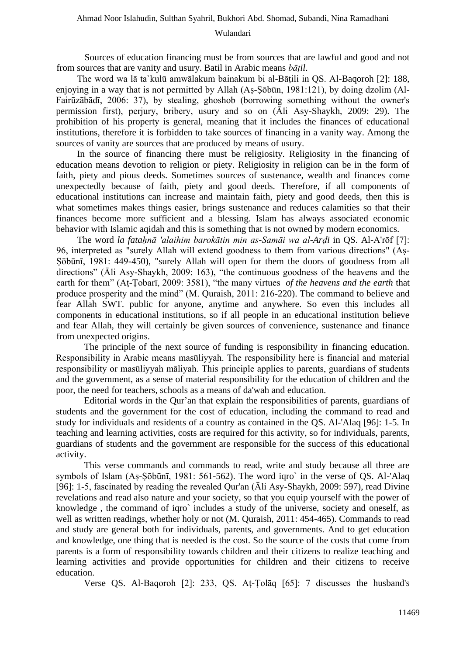Sources of education financing must be from sources that are lawful and good and not from sources that are vanity and usury. Batil in Arabic means *bāṭil*.

The word wa lā ta`kulū amwālakum bainakum bi al-Bāṭili in QS. Al-Baqoroh [2]: 188, enjoying in a way that is not permitted by Allah (As-Sōbūn, 1981:121), by doing dzolim (Al-Fairūzābādī, 2006: 37), by stealing, ghoshob (borrowing something without the owner's permission first), perjury, bribery, usury and so on (Āli Asy-Shaykh, 2009: 29). The prohibition of his property is general, meaning that it includes the finances of educational institutions, therefore it is forbidden to take sources of financing in a vanity way. Among the sources of vanity are sources that are produced by means of usury.

In the source of financing there must be religiosity. Religiosity in the financing of education means devotion to religion or piety. Religiosity in religion can be in the form of faith, piety and pious deeds. Sometimes sources of sustenance, wealth and finances come unexpectedly because of faith, piety and good deeds. Therefore, if all components of educational institutions can increase and maintain faith, piety and good deeds, then this is what sometimes makes things easier, brings sustenance and reduces calamities so that their finances become more sufficient and a blessing. Islam has always associated economic behavior with Islamic aqidah and this is something that is not owned by modern economics.

The word *la fataḥnā 'alaihim barokātin min as-Samāi wa al-Arḍi* in QS. Al-A'rōf [7]: 96, interpreted as "surely Allah will extend goodness to them from various directions" (Aṣ-Ṣōbūnī, 1981: 449-450), "surely Allah will open for them the doors of goodness from all directions" (Āli Asy-Shaykh, 2009: 163), "the continuous goodness of the heavens and the earth for them" (Aṭ-Ṭobarī, 2009: 3581), "the many virtues *of the heavens and the earth* that produce prosperity and the mind" (M. Quraish, 2011: 216-220). The command to believe and fear Allah SWT. public for anyone, anytime and anywhere. So even this includes all components in educational institutions, so if all people in an educational institution believe and fear Allah, they will certainly be given sources of convenience, sustenance and finance from unexpected origins.

The principle of the next source of funding is responsibility in financing education. Responsibility in Arabic means masūliyyah. The responsibility here is financial and material responsibility or masūliyyah māliyah. This principle applies to parents, guardians of students and the government, as a sense of material responsibility for the education of children and the poor, the need for teachers, schools as a means of da'wah and education.

Editorial words in the Qur'an that explain the responsibilities of parents, guardians of students and the government for the cost of education, including the command to read and study for individuals and residents of a country as contained in the QS. Al-'Alaq [96]: 1-5. In teaching and learning activities, costs are required for this activity, so for individuals, parents, guardians of students and the government are responsible for the success of this educational activity.

This verse commands and commands to read, write and study because all three are symbols of Islam (As-Sōbūnī, 1981: 561-562). The word igro` in the verse of QS. Al-'Alaq [96]: 1-5, fascinated by reading the revealed Qur'an (Āli Asy-Shaykh, 2009: 597), read Divine revelations and read also nature and your society, so that you equip yourself with the power of knowledge , the command of iqro` includes a study of the universe, society and oneself, as well as written readings, whether holy or not (M. Quraish, 2011: 454-465). Commands to read and study are general both for individuals, parents, and governments. And to get education and knowledge, one thing that is needed is the cost. So the source of the costs that come from parents is a form of responsibility towards children and their citizens to realize teaching and learning activities and provide opportunities for children and their citizens to receive education.

Verse QS. Al-Baqoroh [2]: 233, QS. Aṭ-Ṭolāq [65]: 7 discusses the husband's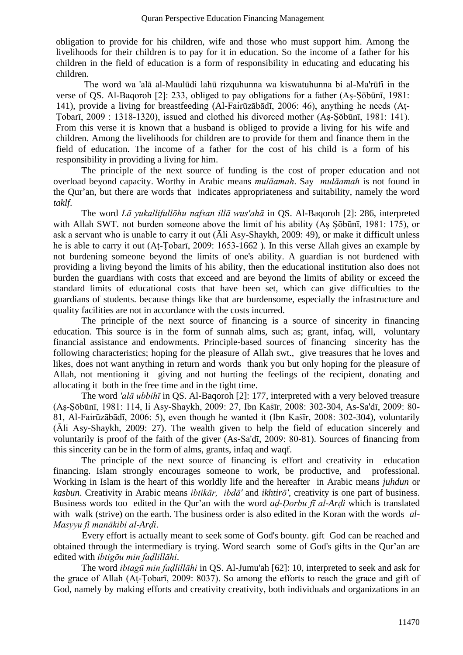obligation to provide for his children, wife and those who must support him. Among the livelihoods for their children is to pay for it in education. So the income of a father for his children in the field of education is a form of responsibility in educating and educating his children.

The word wa 'alā al-Maulūdi lahū rizquhunna wa kiswatuhunna bi al-Ma'rūfi in the verse of QS. Al-Baqoroh [2]: 233, obliged to pay obligations for a father (Aṣ-Ṣōbūnī, 1981: 141), provide a living for breastfeeding (Al-Fairūzābādī, 2006: 46), anything he needs (Aṭ-Ṭobarī, 2009 : 1318-1320), issued and clothed his divorced mother (Aṣ-Ṣōbūnī, 1981: 141). From this verse it is known that a husband is obliged to provide a living for his wife and children. Among the livelihoods for children are to provide for them and finance them in the field of education. The income of a father for the cost of his child is a form of his responsibility in providing a living for him.

The principle of the next source of funding is the cost of proper education and not overload beyond capacity. Worthy in Arabic means *mulāamah*. Say *mulāamah* is not found in the Qur'an, but there are words that indicates appropriateness and suitability, namely the word *taklf*.

The word *Lā yukallifullōhu nafsan illā wus'ahā* in QS. Al-Baqoroh [2]: 286, interpreted with Allah SWT. not burden someone above the limit of his ability (Aṣ Ṣōbūnī, 1981: 175), or ask a servant who is unable to carry it out (Āli Asy-Shaykh, 2009: 49), or make it difficult unless he is able to carry it out (Aṭ-Ṭobarī, 2009: 1653-1662 ). In this verse Allah gives an example by not burdening someone beyond the limits of one's ability. A guardian is not burdened with providing a living beyond the limits of his ability, then the educational institution also does not burden the guardians with costs that exceed and are beyond the limits of ability or exceed the standard limits of educational costs that have been set, which can give difficulties to the guardians of students. because things like that are burdensome, especially the infrastructure and quality facilities are not in accordance with the costs incurred.

The principle of the next source of financing is a source of sincerity in financing education. This source is in the form of sunnah alms, such as; grant, infaq, will, voluntary financial assistance and endowments. Principle-based sources of financing sincerity has the following characteristics; hoping for the pleasure of Allah swt., give treasures that he loves and likes, does not want anything in return and words thank you but only hoping for the pleasure of Allah, not mentioning it giving and not hurting the feelings of the recipient, donating and allocating it both in the free time and in the tight time.

The word *'alā ubbihī* in QS. Al-Baqoroh [2]: 177, interpreted with a very beloved treasure (Aṣ-Ṣōbūnī, 1981: 114, li Asy-Shaykh, 2009: 27, Ibn Kaṡīr, 2008: 302-304, As-Sa'dī, 2009: 80- 81, Al-Fairūzābādī, 2006: 5), even though he wanted it (Ibn Kaṡīr, 2008: 302-304), voluntarily (Āli Asy-Shaykh, 2009: 27). The wealth given to help the field of education sincerely and voluntarily is proof of the faith of the giver (As-Sa'dī, 2009: 80-81). Sources of financing from this sincerity can be in the form of alms, grants, infaq and waqf.

The principle of the next source of financing is effort and creativity in education financing. Islam strongly encourages someone to work, be productive, and professional. Working in Islam is the heart of this worldly life and the hereafter in Arabic means *juhdun* or *kasbun*. Creativity in Arabic means *ibtikār, ibdā'* and *ikhtirō'*, creativity is one part of business. Business words too edited in the Qur'an with the word *aḍ-Ḍorbu fī al-Arḍi* which is translated with walk (strive) on the earth. The business order is also edited in the Koran with the words *al-Masyyu fī manākibi al-Arḍi*.

Every effort is actually meant to seek some of God's bounty. gift God can be reached and obtained through the intermediary is trying. Word search some of God's gifts in the Qur'an are edited with *ibtigōu min faḍlillāhi*.

The word *ibtagū min faḍlillāhi* in QS. Al-Jumu'ah [62]: 10, interpreted to seek and ask for the grace of Allah (Aṭ-Ṭobarī, 2009: 8037). So among the efforts to reach the grace and gift of God, namely by making efforts and creativity creativity, both individuals and organizations in an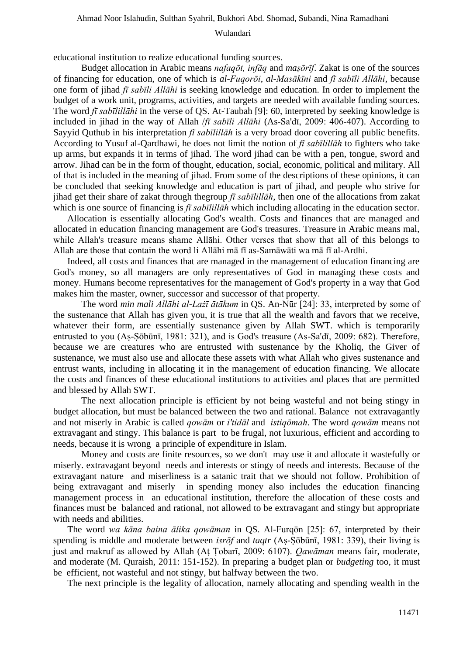#### Ahmad Noor Islahudin, Sulthan Syahril, Bukhori Abd. Shomad, Subandi, Nina Ramadhani

## Wulandari

educational institution to realize educational funding sources.

Budget allocation in Arabic means *nafaqōt, infāq* and *maṣōrīf*. Zakat is one of the sources of financing for education, one of which is *al-Fuqorōi*, *al-Masākīni* and *fī sabīli Allāhi*, because one form of jihad *fī sabīli Allāhi* is seeking knowledge and education. In order to implement the budget of a work unit, programs, activities, and targets are needed with available funding sources. The word *fī sabīlillāhi* in the verse of QS. At-Taubah [9]: 60, interpreted by seeking knowledge is included in jihad in the way of Allah /*fī sabīli Allāhi* (As-Sa'dī, 2009: 406-407). According to Sayyid Quthub in his interpretation *fī sabīlillāh* is a very broad door covering all public benefits. According to Yusuf al-Qardhawi, he does not limit the notion of *fī sabīlillāh* to fighters who take up arms, but expands it in terms of jihad. The word jihad can be with a pen, tongue, sword and arrow. Jihad can be in the form of thought, education, social, economic, political and military. All of that is included in the meaning of jihad. From some of the descriptions of these opinions, it can be concluded that seeking knowledge and education is part of jihad, and people who strive for jihad get their share of zakat through thegroup *fī sabīlillāh*, then one of the allocations from zakat which is one source of financing is  $\hat{\pi}$  *sabīlillāh* which including allocating in the education sector.

Allocation is essentially allocating God's wealth. Costs and finances that are managed and allocated in education financing management are God's treasures. Treasure in Arabic means mal, while Allah's treasure means shame Allāhi. Other verses that show that all of this belongs to Allah are those that contain the word li Allāhi mā fī as-Samāwāti wa mā fī al-Ardhi.

Indeed, all costs and finances that are managed in the management of education financing are God's money, so all managers are only representatives of God in managing these costs and money. Humans become representatives for the management of God's property in a way that God makes him the master, owner, successor and successor of that property.

The word *min mali Allāhi al-Lażī ātākum* in QS. An-Nūr [24]: 33, interpreted by some of the sustenance that Allah has given you, it is true that all the wealth and favors that we receive, whatever their form, are essentially sustenance given by Allah SWT. which is temporarily entrusted to you (Aṣ-Ṣōbūnī, 1981: 321), and is God's treasure (As-Sa'dī, 2009: 682). Therefore, because we are creatures who are entrusted with sustenance by the Kholiq, the Giver of sustenance, we must also use and allocate these assets with what Allah who gives sustenance and entrust wants, including in allocating it in the management of education financing. We allocate the costs and finances of these educational institutions to activities and places that are permitted and blessed by Allah SWT.

The next allocation principle is efficient by not being wasteful and not being stingy in budget allocation, but must be balanced between the two and rational. Balance not extravagantly and not miserly in Arabic is called *qowām* or *i'tidāl* and *istiqōmah*. The word *qowām* means not extravagant and stingy. This balance is part to be frugal, not luxurious, efficient and according to needs, because it is wrong a principle of expenditure in Islam.

Money and costs are finite resources, so we don't may use it and allocate it wastefully or miserly. extravagant beyond needs and interests or stingy of needs and interests. Because of the extravagant nature and miserliness is a satanic trait that we should not follow. Prohibition of being extravagant and miserly in spending money also includes the education financing management process in an educational institution, therefore the allocation of these costs and finances must be balanced and rational, not allowed to be extravagant and stingy but appropriate with needs and abilities.

The word *wa kāna baina ālika qowāman* in QS. Al-Furqōn [25]: 67, interpreted by their spending is middle and moderate between *isrōf* and *taqtr* (Aṣ-Ṣōbūnī, 1981: 339), their living is just and makruf as allowed by Allah (Aṭ Ṭobarī, 2009: 6107). *Qawāman* means fair, moderate, and moderate (M. Quraish, 2011: 151-152). In preparing a budget plan or *budgeting* too, it must be efficient, not wasteful and not stingy, but halfway between the two.

The next principle is the legality of allocation, namely allocating and spending wealth in the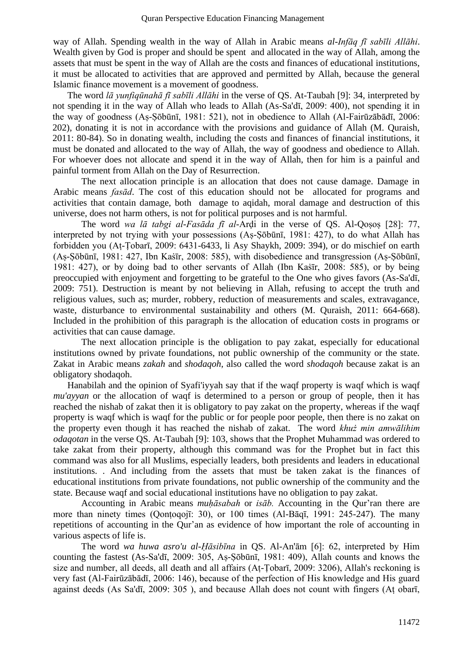way of Allah. Spending wealth in the way of Allah in Arabic means *al-Infāq fī sabīli Allāhi*. Wealth given by God is proper and should be spent and allocated in the way of Allah, among the assets that must be spent in the way of Allah are the costs and finances of educational institutions, it must be allocated to activities that are approved and permitted by Allah, because the general Islamic finance movement is a movement of goodness.

The word *lā yunfiqūnahā fī sabīli Allāhi* in the verse of QS. At-Taubah [9]: 34, interpreted by not spending it in the way of Allah who leads to Allah (As-Sa'dī, 2009: 400), not spending it in the way of goodness (Aṣ-Ṣōbūnī, 1981: 521), not in obedience to Allah (Al-Fairūzābādī, 2006: 202), donating it is not in accordance with the provisions and guidance of Allah (M. Quraish, 2011: 80-84). So in donating wealth, including the costs and finances of financial institutions, it must be donated and allocated to the way of Allah, the way of goodness and obedience to Allah. For whoever does not allocate and spend it in the way of Allah, then for him is a painful and painful torment from Allah on the Day of Resurrection.

The next allocation principle is an allocation that does not cause damage. Damage in Arabic means *fasād*. The cost of this education should not be allocated for programs and activities that contain damage, both damage to aqidah, moral damage and destruction of this universe, does not harm others, is not for political purposes and is not harmful.

The word *wa lā tabgi al-Fasāda fī al-*Arḍi in the verse of QS. Al-Qoṣoṣ [28]: 77, interpreted by not trying with your possessions (As-Sōbūnī, 1981: 427), to do what Allah has forbidden you (Aṭ-Ṭobarī, 2009: 6431-6433, li Asy Shaykh, 2009: 394), or do mischief on earth (Aṣ-Ṣōbūnī, 1981: 427, Ibn Kaṡīr, 2008: 585), with disobedience and transgression (Aṣ-Ṣōbūnī, 1981: 427), or by doing bad to other servants of Allah (Ibn Kaṡīr, 2008: 585), or by being preoccupied with enjoyment and forgetting to be grateful to the One who gives favors (As-Sa'dī, 2009: 751). Destruction is meant by not believing in Allah, refusing to accept the truth and religious values, such as; murder, robbery, reduction of measurements and scales, extravagance, waste, disturbance to environmental sustainability and others (M. Quraish, 2011: 664-668). Included in the prohibition of this paragraph is the allocation of education costs in programs or activities that can cause damage.

The next allocation principle is the obligation to pay zakat, especially for educational institutions owned by private foundations, not public ownership of the community or the state. Zakat in Arabic means *zakah* and *shodaqoh*, also called the word *shodaqoh* because zakat is an obligatory shodaqoh.

Hanabilah and the opinion of Syafi'iyyah say that if the waqf property is waqf which is waqf *mu'ayyan* or the allocation of waqf is determined to a person or group of people, then it has reached the nishab of zakat then it is obligatory to pay zakat on the property, whereas if the waqf property is waqf which is waqf for the public or for people poor people, then there is no zakat on the property even though it has reached the nishab of zakat. The word *khuż min amwālihim odaqotan* in the verse QS. At-Taubah [9]: 103, shows that the Prophet Muhammad was ordered to take zakat from their property, although this command was for the Prophet but in fact this command was also for all Muslims, especially leaders, both presidents and leaders in educational institutions. . And including from the assets that must be taken zakat is the finances of educational institutions from private foundations, not public ownership of the community and the state. Because waqf and social educational institutions have no obligation to pay zakat.

Accounting in Arabic means *muḥāsabah* or *isāb.* Accounting in the Qur'ran there are more than ninety times (Qonṭoqojī: 30), or 100 times (Al-Bāqī, 1991: 245-247). The many repetitions of accounting in the Qur'an as evidence of how important the role of accounting in various aspects of life is.

The word *wa huwa asro'u al-Ḥāsibīna* in QS. Al-An'ām [6]: 62, interpreted by Him counting the fastest (As-Sa'dī, 2009: 305, Aṣ-Ṣōbūnī, 1981: 409), Allah counts and knows the size and number, all deeds, all death and all affairs (Aṭ-Ṭobarī, 2009: 3206), Allah's reckoning is very fast (Al-Fairūzābādī, 2006: 146), because of the perfection of His knowledge and His guard against deeds (As Sa'dī, 2009: 305 ), and because Allah does not count with fingers (Aṭ obarī,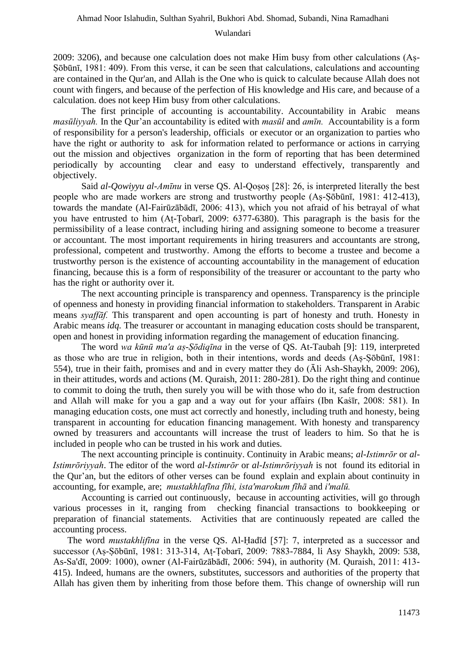2009: 3206), and because one calculation does not make Him busy from other calculations (Aṣ-Ṣōbūnī, 1981: 409). From this verse, it can be seen that calculations, calculations and accounting are contained in the Qur'an, and Allah is the One who is quick to calculate because Allah does not count with fingers, and because of the perfection of His knowledge and His care, and because of a calculation. does not keep Him busy from other calculations.

The first principle of accounting is accountability. Accountability in Arabic means *masūliyyah.* In the Qur'an accountability is edited with *masūl* and *amīn.* Accountability is a form of responsibility for a person's leadership, officials or executor or an organization to parties who have the right or authority to ask for information related to performance or actions in carrying out the mission and objectives organization in the form of reporting that has been determined periodically by accounting clear and easy to understand effectively, transparently and objectively.

Said *al-Qowiyyu al-Amīnu* in verse QS. Al-Qosos [28]: 26, is interpreted literally the best people who are made workers are strong and trustworthy people (Aṣ-Ṣōbūnī, 1981: 412-413), towards the mandate (Al-Fairūzābādī, 2006: 413), which you not afraid of his betrayal of what you have entrusted to him (Aṭ-Ṭobarī, 2009: 6377-6380). This paragraph is the basis for the permissibility of a lease contract, including hiring and assigning someone to become a treasurer or accountant. The most important requirements in hiring treasurers and accountants are strong, professional, competent and trustworthy. Among the efforts to become a trustee and become a trustworthy person is the existence of accounting accountability in the management of education financing, because this is a form of responsibility of the treasurer or accountant to the party who has the right or authority over it.

The next accounting principle is transparency and openness. Transparency is the principle of openness and honesty in providing financial information to stakeholders. Transparent in Arabic means *syaffāf.* This transparent and open accounting is part of honesty and truth. Honesty in Arabic means *idq.* The treasurer or accountant in managing education costs should be transparent, open and honest in providing information regarding the management of education financing.

The word *wa kūnū ma'a aṣ-Ṣōdiqīna* in the verse of QS. At-Taubah [9]: 119, interpreted as those who are true in religion, both in their intentions, words and deeds (Aṣ-Ṣōbūnī, 1981: 554), true in their faith, promises and and in every matter they do (Āli Ash-Shaykh, 2009: 206), in their attitudes, words and actions (M. Quraish, 2011: 280-281). Do the right thing and continue to commit to doing the truth, then surely you will be with those who do it, safe from destruction and Allah will make for you a gap and a way out for your affairs (Ibn Kasir, 2008: 581). In managing education costs, one must act correctly and honestly, including truth and honesty, being transparent in accounting for education financing management. With honesty and transparency owned by treasurers and accountants will increase the trust of leaders to him. So that he is included in people who can be trusted in his work and duties*.* 

The next accounting principle is continuity. Continuity in Arabic means; *al-Istimrōr* or *al-Istimrōriyyah*. The editor of the word *al-Istimrōr* or *al-Istimrōriyyah* is not found its editorial in the Qur'an, but the editors of other verses can be found explain and explain about continuity in accounting, for example, are; *mustakhlafīna fīhi, ista'marokum fīhā* and *i'malū.*

Accounting is carried out continuously, because in accounting activities, will go through various processes in it, ranging from checking financial transactions to bookkeeping or preparation of financial statements. Activities that are continuously repeated are called the accounting process.

The word *mustakhlifīna* in the verse QS. Al-Ḥadīd [57]: 7, interpreted as a successor and successor (Aṣ-Ṣōbūnī, 1981: 313-314, Aṭ-Ṭobarī, 2009: 7883-7884, li Asy Shaykh, 2009: 538, As-Sa'dī, 2009: 1000), owner (Al-Fairūzābādī, 2006: 594), in authority (M. Quraish, 2011: 413- 415). Indeed, humans are the owners, substitutes, successors and authorities of the property that Allah has given them by inheriting from those before them. This change of ownership will run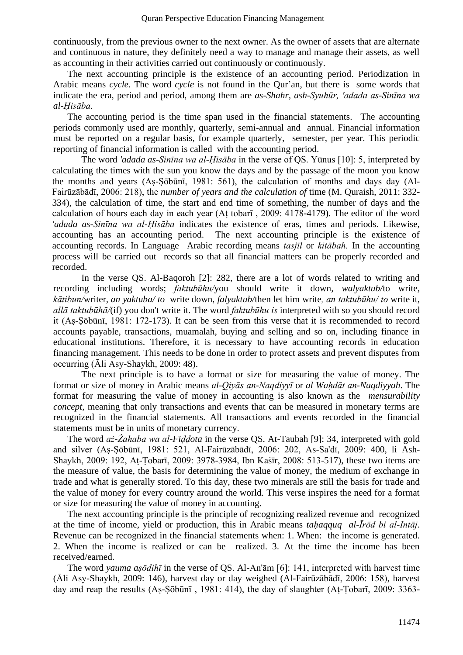continuously, from the previous owner to the next owner. As the owner of assets that are alternate and continuous in nature, they definitely need a way to manage and manage their assets, as well as accounting in their activities carried out continuously or continuously.

The next accounting principle is the existence of an accounting period. Periodization in Arabic means *cycle*. The word *cycle* is not found in the Qur'an, but there is some words that indicate the era, period and period, among them are *as-Shahr, ash-Syuhūr, 'adada as-Sinīna wa al-Ḥisāba*.

The accounting period is the time span used in the financial statements. The accounting periods commonly used are monthly, quarterly, semi-annual and annual. Financial information must be reported on a regular basis, for example quarterly, semester, per year. This periodic reporting of financial information is called with the accounting period.

The word *'adada as-Sinīna wa al-Ḥisāba* in the verse of QS. Yūnus [10]: 5, interpreted by calculating the times with the sun you know the days and by the passage of the moon you know the months and years (Aṣ-Ṣōbūnī, 1981: 561), the calculation of months and days day (Al-Fairūzābādī, 2006: 218), the *number of years and the calculation of* time (M. Quraish, 2011: 332- 334), the calculation of time, the start and end time of something, the number of days and the calculation of hours each day in each year (Aṭ tobarī , 2009: 4178-4179). The editor of the word *'adada as-Sinīna wa al-Ḥisāba* indicates the existence of eras, times and periods. Likewise, accounting has an accounting period. The next accounting principle is the existence of accounting records. In Language Arabic recording means *tasjīl* or *kitābah.* In the accounting process will be carried out records so that all financial matters can be properly recorded and recorded.

In the verse QS. Al-Baqoroh [2]: 282, there are a lot of words related to writing and recording including words; *faktubūhu/*you should write it down*, walyaktub/*to write*, kātibun/*writer*, an yaktuba/ to* write down*, falyaktub/*then let him write*, an taktubūhu/ to* write it*, allā taktubūhā/*(if) you don't write it. The word *faktubūhu is* interpreted with so you should record it (Aṣ-Ṣōbūnī, 1981: 172-173). It can be seen from this verse that it is recommended to record accounts payable, transactions, muamalah, buying and selling and so on, including finance in educational institutions. Therefore, it is necessary to have accounting records in education financing management. This needs to be done in order to protect assets and prevent disputes from occurring (Āli Asy-Shaykh, 2009: 48).

The next principle is to have a format or size for measuring the value of money. The format or size of money in Arabic means *al-Qiyās an-Naqdiyyī* or *al Waḥdāt an-Naqdiyyah*. The format for measuring the value of money in accounting is also known as the *mensurability concept*, meaning that only transactions and events that can be measured in monetary terms are recognized in the financial statements. All transactions and events recorded in the financial statements must be in units of monetary currency.

The word *aż-Żahaba wa al-Fiḍḍota* in the verse QS. At-Taubah [9]: 34, interpreted with gold and silver (Aṣ-Ṣōbūnī, 1981: 521, Al-Fairūzābādī, 2006: 202, As-Sa'dī, 2009: 400, li Ash-Shaykh, 2009: 192, Aṭ-Ṭobarī, 2009: 3978-3984, Ibn Kaṡīr, 2008: 513-517), these two items are the measure of value, the basis for determining the value of money, the medium of exchange in trade and what is generally stored. To this day, these two minerals are still the basis for trade and the value of money for every country around the world. This verse inspires the need for a format or size for measuring the value of money in accounting.

The next accounting principle is the principle of recognizing realized revenue and recognized at the time of income, yield or production, this in Arabic means *taḥaqquq al-Īrōd bi al-Intāj*. Revenue can be recognized in the financial statements when: 1. When: the income is generated. 2. When the income is realized or can be realized. 3. At the time the income has been received/earned.

The word *yauma aṣōdihī* in the verse of QS. Al-An'ām [6]: 141, interpreted with harvest time (Āli Asy-Shaykh, 2009: 146), harvest day or day weighed (Al-Fairūzābādī, 2006: 158), harvest day and reap the results (Aṣ-Ṣōbūnī , 1981: 414), the day of slaughter (Aṭ-Ṭobarī, 2009: 3363-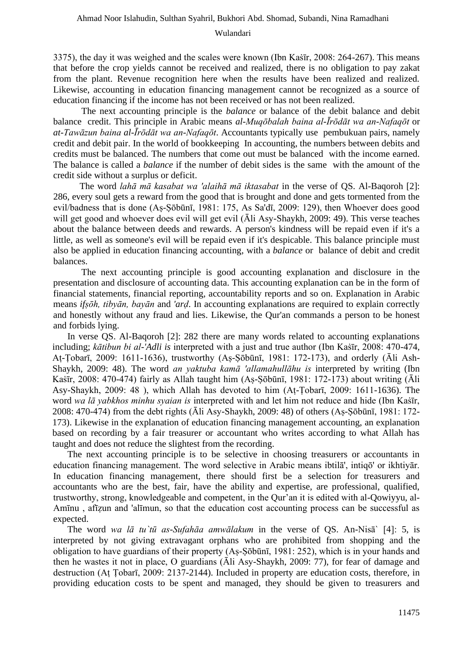3375), the day it was weighed and the scales were known (Ibn Kaṡīr, 2008: 264-267). This means that before the crop yields cannot be received and realized, there is no obligation to pay zakat from the plant. Revenue recognition here when the results have been realized and realized. Likewise, accounting in education financing management cannot be recognized as a source of education financing if the income has not been received or has not been realized.

The next accounting principle is the *balance* or balance of the debit balance and debit balance credit. This principle in Arabic means *al-Muqōbalah baina al-Īrōdāt wa an-Nafaqōt* or *at-Tawāzun baina al-Īrōdāt wa an-Nafaqōt*. Accountants typically use pembukuan pairs, namely credit and debit pair. In the world of bookkeeping In accounting, the numbers between debits and credits must be balanced. The numbers that come out must be balanced with the income earned. The balance is called a *balance* if the number of debit sides is the same with the amount of the credit side without a surplus or deficit.

The word *lahā mā kasabat wa 'alaihā mā iktasabat* in the verse of QS. Al-Baqoroh [2]: 286, every soul gets a reward from the good that is brought and done and gets tormented from the evil/badness that is done (Aṣ-Ṣōbūnī, 1981: 175, As Sa'dī, 2009: 129), then Whoever does good will get good and whoever does evil will get evil (Āli Asy-Shaykh, 2009: 49). This verse teaches about the balance between deeds and rewards. A person's kindness will be repaid even if it's a little, as well as someone's evil will be repaid even if it's despicable. This balance principle must also be applied in education financing accounting, with a *balance* or balance of debit and credit balances.

The next accounting principle is good accounting explanation and disclosure in the presentation and disclosure of accounting data. This accounting explanation can be in the form of financial statements, financial reporting, accountability reports and so on. Explanation in Arabic means *ifṣōh, tibyān, bayān* and *'arḍ*. In accounting explanations are required to explain correctly and honestly without any fraud and lies. Likewise, the Qur'an commands a person to be honest and forbids lying.

In verse QS. Al-Baqoroh [2]: 282 there are many words related to accounting explanations including; *kātibun bi al-'Adli is* interpreted with a just and true author (Ibn Kasīr, 2008: 470-474, Aṭ-Ṭobarī, 2009: 1611-1636), trustworthy (Aṣ-Ṣōbūnī, 1981: 172-173), and orderly (Āli Ash-Shaykh, 2009: 48). The word *an yaktuba kamā 'allamahullāhu is* interpreted by writing (Ibn Kaṡīr, 2008: 470-474) fairly as Allah taught him (Aṣ-Ṣōbūnī, 1981: 172-173) about writing (Āli Asy-Shaykh, 2009: 48 ), which Allah has devoted to him (Aṭ-Ṭobarī, 2009: 1611-1636). The word *wa lā yabkhos minhu syaian is* interpreted with and let him not reduce and hide (Ibn Kaṡīr, 2008: 470-474) from the debt rights (Āli Asy-Shaykh, 2009: 48) of others (Aṣ-Ṣōbūnī, 1981: 172- 173). Likewise in the explanation of education financing management accounting, an explanation based on recording by a fair treasurer or accountant who writes according to what Allah has taught and does not reduce the slightest from the recording.

The next accounting principle is to be selective in choosing treasurers or accountants in education financing management. The word selective in Arabic means ibtilā', intiqō' or ikhtiyār. In education financing management, there should first be a selection for treasurers and accountants who are the best, fair, have the ability and expertise, are professional, qualified, trustworthy, strong, knowledgeable and competent, in the Qur'an it is edited with al-Qowiyyu, al-Amīnu, afīzun and 'alīmun, so that the education cost accounting process can be successful as expected.

The word *wa lā tu`tū as-Sufahāa amwālakum* in the verse of QS. An-Nisā` [4]: 5, is interpreted by not giving extravagant orphans who are prohibited from shopping and the obligation to have guardians of their property (Aṣ-Ṣōbūnī, 1981: 252), which is in your hands and then he wastes it not in place, O guardians (Āli Asy-Shaykh, 2009: 77), for fear of damage and destruction (Aṭ Ṭobarī, 2009: 2137-2144). Included in property are education costs, therefore, in providing education costs to be spent and managed, they should be given to treasurers and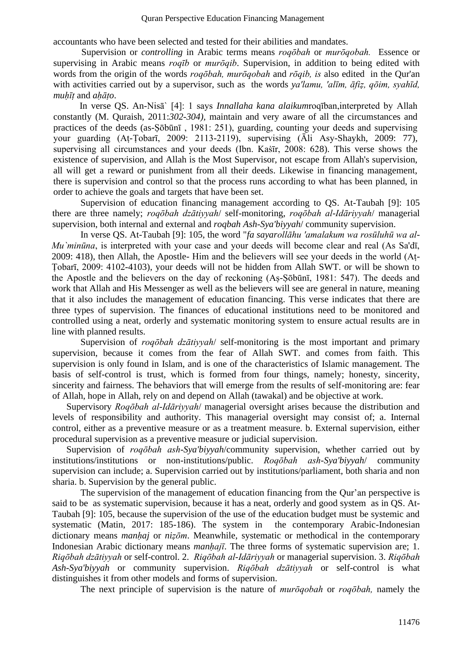accountants who have been selected and tested for their abilities and mandates.

Supervision or *controlling* in Arabic terms means *roqōbah* or *murōqobah.* Essence or supervising in Arabic means *roqīb* or *murōqib*. Supervision, in addition to being edited with words from the origin of the words *roqōbah, murōqobah* and *rōqib, is* also edited in the Qur'an with activities carried out by a supervisor, such as the words *ya'lamu, 'alīm, āfiẓ, qōim, syahīd, muḥīṭ* and *aḥāṭo*.

In verse QS. An-Nisā` [4]: 1 says *Innallaha kana alaikum*roqīban,interpreted by Allah constantly (M. Quraish, 2011:*302-304),* maintain and very aware of all the circumstances and practices of the deeds (as-Ṣōbūnī , 1981: 251), guarding, counting your deeds and supervising your guarding (Aṭ-Ṭobarī, 2009: 2113-2119), supervising (Āli Asy-Shaykh, 2009: 77), supervising all circumstances and your deeds (Ibn. Kastir, 2008: 628). This verse shows the existence of supervision, and Allah is the Most Supervisor, not escape from Allah's supervision, all will get a reward or punishment from all their deeds. Likewise in financing management, there is supervision and control so that the process runs according to what has been planned, in order to achieve the goals and targets that have been set.

Supervision of education financing management according to QS. At-Taubah [9]: 105 there are three namely; *roqōbah dzātiyyah*/ self-monitoring, *roqōbah al-Idāriyyah*/ managerial supervision, both internal and external and *roqbah Ash-Sya'biyyah*/ community supervision.

In verse QS. At-Taubah [9]: 105, the word "*fa sayarollāhu 'amalakum wa rosūluhū wa al-Mu`minūna*, is interpreted with your case and your deeds will become clear and real (As Sa'dī, 2009: 418), then Allah, the Apostle- Him and the believers will see your deeds in the world (Aṭ-Ṭobarī, 2009: 4102-4103), your deeds will not be hidden from Allah SWT. or will be shown to the Apostle and the believers on the day of reckoning (Aṣ-Ṣōbūnī, 1981: 547). The deeds and work that Allah and His Messenger as well as the believers will see are general in nature, meaning that it also includes the management of education financing. This verse indicates that there are three types of supervision. The finances of educational institutions need to be monitored and controlled using a neat, orderly and systematic monitoring system to ensure actual results are in line with planned results.

Supervision of *roqōbah dzātiyyah*/ self-monitoring is the most important and primary supervision, because it comes from the fear of Allah SWT. and comes from faith. This supervision is only found in Islam, and is one of the characteristics of Islamic management. The basis of self-control is trust, which is formed from four things, namely; honesty, sincerity, sincerity and fairness. The behaviors that will emerge from the results of self-monitoring are: fear of Allah, hope in Allah, rely on and depend on Allah (tawakal) and be objective at work.

Supervisory *Roqōbah al-Idāriyyah*/ managerial oversight arises because the distribution and levels of responsibility and authority. This managerial oversight may consist of; a. Internal control, either as a preventive measure or as a treatment measure. b. External supervision, either procedural supervision as a preventive measure or judicial supervision.

Supervision of *roqōbah ash-Sya'biyyah*/community supervision, whether carried out by institutions/institutions or non-institutions/public. *Roqōbah ash-Sya'biyyah*/ community supervision can include; a. Supervision carried out by institutions/parliament, both sharia and non sharia. b. Supervision by the general public.

The supervision of the management of education financing from the Qur'an perspective is said to be as systematic supervision, because it has a neat, orderly and good system as in QS. At-Taubah [9]: 105, because the supervision of the use of the education budget must be systemic and systematic (Matin, 2017: 185-186). The system in the contemporary Arabic-Indonesian dictionary means *manhaj* or *nizōm*. Meanwhile, systematic or methodical in the contemporary Indonesian Arabic dictionary means *manḥajī*. The three forms of systematic supervision are; 1. *Riqōbah dzātiyyah* or self-control. 2. *Riqōbah al-Idāriyyah* or managerial supervision. 3. *Riqōbah Ash-Sya'biyyah* or community supervision. *Riqōbah dzātiyyah* or self-control is what distinguishes it from other models and forms of supervision.

The next principle of supervision is the nature of *murōqobah* or *roqōbah,* namely the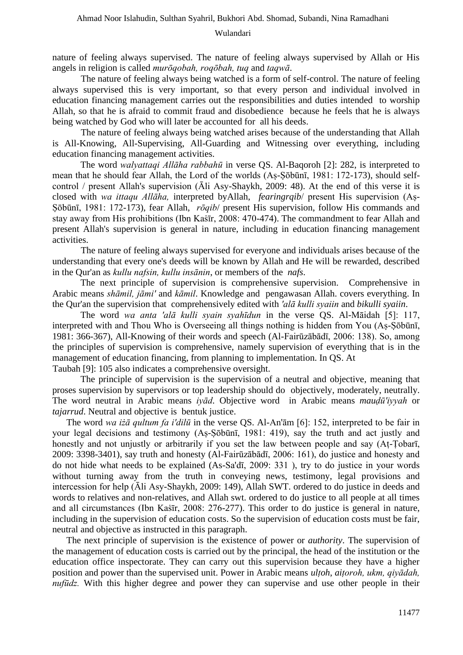nature of feeling always supervised. The nature of feeling always supervised by Allah or His angels in religion is called *murōqobah, roqōbah, tuq* and *taqwā*.

The nature of feeling always being watched is a form of self-control. The nature of feeling always supervised this is very important, so that every person and individual involved in education financing management carries out the responsibilities and duties intended to worship Allah, so that he is afraid to commit fraud and disobedience because he feels that he is always being watched by God who will later be accounted for all his deeds.

The nature of feeling always being watched arises because of the understanding that Allah is All-Knowing, All-Supervising, All-Guarding and Witnessing over everything, including education financing management activities.

The word *walyattaqi Allāha rabbahū* in verse QS. Al-Baqoroh [2]: 282, is interpreted to mean that he should fear Allah, the Lord of the worlds (Aṣ-Ṣōbūnī, 1981: 172-173), should selfcontrol / present Allah's supervision (Āli Asy-Shaykh, 2009: 48). At the end of this verse it is closed with *wa ittaqu Allāha,* interpreted byAllah, *fearingrqib*/ present His supervision (Aṣ-Ṣōbūnī, 1981: 172-173), fear Allah, *rōqib*/ present His supervision, follow His commands and stay away from His prohibitions (Ibn Kašīr, 2008: 470-474). The commandment to fear Allah and present Allah's supervision is general in nature, including in education financing management activities.

The nature of feeling always supervised for everyone and individuals arises because of the understanding that every one's deeds will be known by Allah and He will be rewarded, described in the Qur'an as *kullu nafsin, kullu insānin*, or members of the *nafs*.

The next principle of supervision is comprehensive supervision. Comprehensive in Arabic means *shāmil, jāmi'* and *kāmil*. Knowledge and pengawasan Allah. covers everything. In the Qur'an the supervision that comprehensively edited with *'alā kulli syaiin* and *bikulli syaiin*.

The word *wa anta 'alā kulli syain syahīdun* in the verse QS. Al-Māidah [5]: 117, interpreted with and Thou Who is Overseeing all things nothing is hidden from You (Aṣ-Ṣōbūnī, 1981: 366-367), All-Knowing of their words and speech (Al-Fairūzābādī, 2006: 138). So, among the principles of supervision is comprehensive, namely supervision of everything that is in the management of education financing, from planning to implementation. In QS. At Taubah [9]: 105 also indicates a comprehensive oversight.

The principle of supervision is the supervision of a neutral and objective, meaning that proses supervision by supervisors or top leadership should do objectively, moderately, neutrally. The word neutral in Arabic means *iyād*. Objective word in Arabic means *mauḍū'iyyah* or *tajarrud*. Neutral and objective is bentuk justice.

The word *wa iżā qultum fa i'dilū* in the verse QS. Al-An'ām [6]: 152, interpreted to be fair in your legal decisions and testimony (Aṣ-Ṣōbūnī, 1981: 419), say the truth and act justly and honestly and not unjustly or arbitrarily if you set the law between people and say (Aṭ-Ṭobarī, 2009: 3398-3401), say truth and honesty (Al-Fairūzābādī, 2006: 161), do justice and honesty and do not hide what needs to be explained (As-Sa'dī, 2009: 331 ), try to do justice in your words without turning away from the truth in conveying news, testimony, legal provisions and intercession for help (Āli Asy-Shaykh, 2009: 149), Allah SWT. ordered to do justice in deeds and words to relatives and non-relatives, and Allah swt. ordered to do justice to all people at all times and all circumstances (Ibn Kaṡīr, 2008: 276-277). This order to do justice is general in nature, including in the supervision of education costs. So the supervision of education costs must be fair, neutral and objective as instructed in this paragraph.

The next principle of supervision is the existence of power or *authority*. The supervision of the management of education costs is carried out by the principal, the head of the institution or the education office inspectorate. They can carry out this supervision because they have a higher position and power than the supervised unit. Power in Arabic means *ulṭoh*, *aiṭoroh, ukm, qiyādah, nufūdz.* With this higher degree and power they can supervise and use other people in their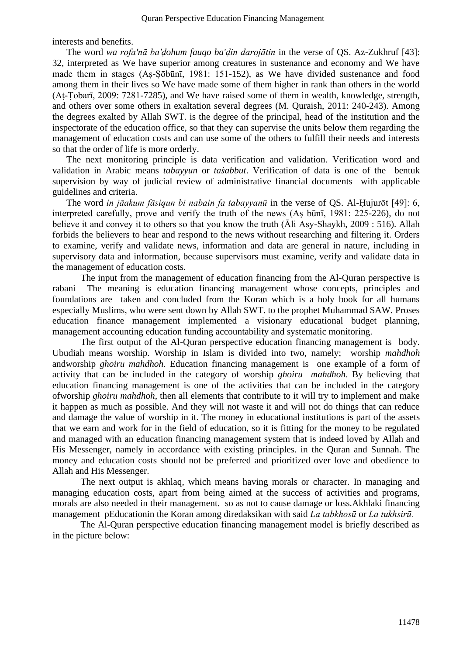interests and benefits.

The word *wa rofa'nā ba'ḍohum fauqo ba'ḍin darojātin* in the verse of QS. Az-Zukhruf [43]: 32, interpreted as We have superior among creatures in sustenance and economy and We have made them in stages (Aṣ-Ṣōbūnī, 1981: 151-152), as We have divided sustenance and food among them in their lives so We have made some of them higher in rank than others in the world (Aṭ-Ṭobarī, 2009: 7281-7285), and We have raised some of them in wealth, knowledge, strength, and others over some others in exaltation several degrees (M. Quraish, 2011: 240-243). Among the degrees exalted by Allah SWT. is the degree of the principal, head of the institution and the inspectorate of the education office, so that they can supervise the units below them regarding the management of education costs and can use some of the others to fulfill their needs and interests so that the order of life is more orderly.

The next monitoring principle is data verification and validation. Verification word and validation in Arabic means *tabayyun* or *taṡabbut*. Verification of data is one of the bentuk supervision by way of judicial review of administrative financial documents with applicable guidelines and criteria.

The word *in jāakum fāsiqun bi nabain fa tabayyanū* in the verse of QS. Al-Ḥujurōt [49]: 6, interpreted carefully, prove and verify the truth of the news (Aṣ būnī, 1981: 225-226), do not believe it and convey it to others so that you know the truth (Āli Asy-Shaykh, 2009 : 516). Allah forbids the believers to hear and respond to the news without researching and filtering it. Orders to examine, verify and validate news, information and data are general in nature, including in supervisory data and information, because supervisors must examine, verify and validate data in the management of education costs.

The input from the management of education financing from the Al-Quran perspective is rabani The meaning is education financing management whose concepts, principles and foundations are taken and concluded from the Koran which is a holy book for all humans especially Muslims, who were sent down by Allah SWT. to the prophet Muhammad SAW. Proses education finance management implemented a visionary educational budget planning, management accounting education funding accountability and systematic monitoring.

The first output of the Al-Quran perspective education financing management is body. Ubudiah means worship. Worship in Islam is divided into two, namely; worship *mahdhoh*  andworship *ghoiru mahdhoh*. Education financing management is one example of a form of activity that can be included in the category of worship *ghoiru mahdhoh*. By believing that education financing management is one of the activities that can be included in the category ofworship *ghoiru mahdhoh*, then all elements that contribute to it will try to implement and make it happen as much as possible. And they will not waste it and will not do things that can reduce and damage the value of worship in it. The money in educational institutions is part of the assets that we earn and work for in the field of education, so it is fitting for the money to be regulated and managed with an education financing management system that is indeed loved by Allah and His Messenger, namely in accordance with existing principles. in the Quran and Sunnah. The money and education costs should not be preferred and prioritized over love and obedience to Allah and His Messenger.

The next output is akhlaq, which means having morals or character. In managing and managing education costs, apart from being aimed at the success of activities and programs, morals are also needed in their management. so as not to cause damage or loss.Akhlaki financing management pEducationin the Koran among diredaksikan with said *La tabkhosū* or *La tukhsirū.* 

The Al-Quran perspective education financing management model is briefly described as in the picture below: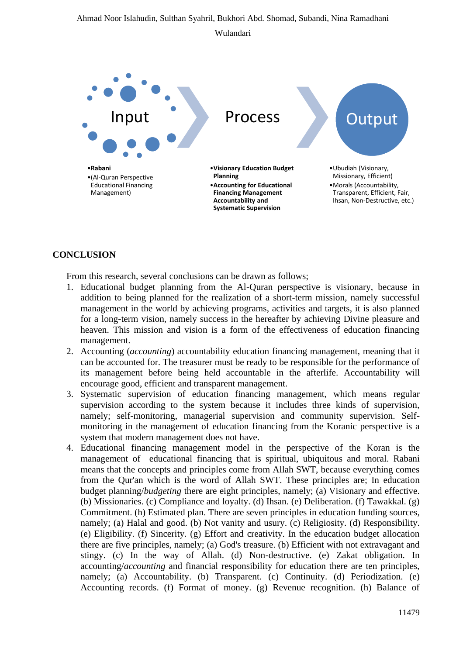# Ahmad Noor Islahudin, Sulthan Syahril, Bukhori Abd. Shomad, Subandi, Nina Ramadhani Wulandari



# **CONCLUSION**

From this research, several conclusions can be drawn as follows;

- 1. Educational budget planning from the Al-Quran perspective is visionary, because in addition to being planned for the realization of a short-term mission, namely successful management in the world by achieving programs, activities and targets, it is also planned for a long-term vision, namely success in the hereafter by achieving Divine pleasure and heaven. This mission and vision is a form of the effectiveness of education financing management.
- 2. Accounting (*accounting*) accountability education financing management, meaning that it can be accounted for. The treasurer must be ready to be responsible for the performance of its management before being held accountable in the afterlife. Accountability will encourage good, efficient and transparent management.
- 3. Systematic supervision of education financing management, which means regular supervision according to the system because it includes three kinds of supervision, namely; self-monitoring, managerial supervision and community supervision. Selfmonitoring in the management of education financing from the Koranic perspective is a system that modern management does not have.
- 4. Educational financing management model in the perspective of the Koran is the management of educational financing that is spiritual, ubiquitous and moral. Rabani means that the concepts and principles come from Allah SWT, because everything comes from the Qur'an which is the word of Allah SWT. These principles are; In education budget planning/*budgeting* there are eight principles, namely; (a) Visionary and effective. (b) Missionaries. (c) Compliance and loyalty. (d) Ihsan. (e) Deliberation. (f) Tawakkal. (g) Commitment. (h) Estimated plan. There are seven principles in education funding sources, namely; (a) Halal and good. (b) Not vanity and usury. (c) Religiosity. (d) Responsibility. (e) Eligibility. (f) Sincerity. (g) Effort and creativity. In the education budget allocation there are five principles, namely; (a) God's treasure. (b) Efficient with not extravagant and stingy. (c) In the way of Allah. (d) Non-destructive. (e) Zakat obligation. In accounting/*accounting* and financial responsibility for education there are ten principles, namely; (a) Accountability. (b) Transparent. (c) Continuity. (d) Periodization. (e) Accounting records. (f) Format of money. (g) Revenue recognition. (h) Balance of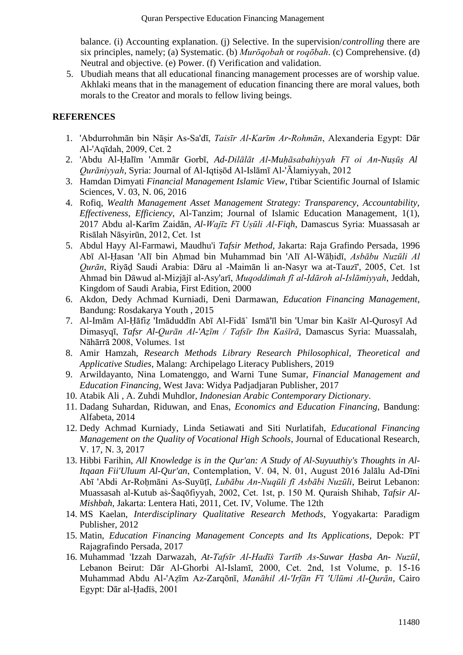balance. (i) Accounting explanation. (j) Selective. In the supervision/*controlling* there are six principles, namely; (a) Systematic. (b) *Murōqobah* or *roqōbah*. (c) Comprehensive. (d) Neutral and objective. (e) Power. (f) Verification and validation.

5. Ubudiah means that all educational financing management processes are of worship value. Akhlaki means that in the management of education financing there are moral values, both morals to the Creator and morals to fellow living beings.

# **REFERENCES**

- 1. 'Abdurrohmān bin Nāṣir As-Sa'dī, *Taisīr Al-Karīm Ar-Rohmān*, Alexanderia Egypt: Dār Al-'Aqīdah, 2009, Cet. 2
- 2. 'Abdu Al-Ḥalīm 'Ammār Gorbī, *Ad-Dilālāt Al-Muḥāsabahiyyah Fī oi An-Nuṣūṣ Al Qurāniyyah*, Syria: Journal of Al-Iqtiṣōd Al-Islāmī Al-'Ālamiyyah, 2012
- 3. Hamdan Dimyati *Financial Management Islamic View*, I'tibar Scientific Journal of Islamic Sciences, V. 03, N. 06, 2016
- 4. Rofiq, *Wealth Management Asset Management Strategy: Transparency, Accountability, Effectiveness, Efficiency*, Al-Tanzim; Journal of Islamic Education Management, 1(1), 2017 Abdu al-Karīm Zaidān, *Al-Wajīz Fī Uṣūli Al-Fiqh*, Damascus Syria: Muassasah ar Risālah Nāsyirūn, 2012, Cet. 1st
- 5. Abdul Hayy Al-Farmawi, Maudhu'i *Tafsir Method*, Jakarta: Raja Grafindo Persada, 1996 Abī Al-Ḥasan 'Alī bin Aḥmad bin Muhammad bin 'Alī Al-Wāḥidī, *Asbābu Nuzūli Al Qurān*, Riyāḍ Saudi Arabia: Dāru al -Maimān li an-Nasyr wa at-Tauzī', 2005, Cet. 1st Ahmad bin Dāwud al-Mizjājī al-Asy'arī, *Muqoddimah fī al-Idāroh al-Islāmiyyah*, Jeddah, Kingdom of Saudi Arabia, First Edition, 2000
- 6. Akdon, Dedy Achmad Kurniadi, Deni Darmawan, *Education Financing Management*, Bandung: Rosdakarya Youth , 2015
- 7. Al-Imām Al-Ḥāfiẓ 'Imāduddīn Abī Al-Fidā` Ismā'īl bin 'Umar bin Kaṡīr Al-Qurosyī Ad Dimasyqī, *Tafsr Al-Qurān Al-'Aẓīm / Tafsīr Ibn Kaṡīrā*, Damascus Syria: Muassalah, Nāhārrā 2008, Volumes. 1st
- 8. Amir Hamzah, *Research Methods Library Research Philosophical, Theoretical and Applicative Studies*, Malang: Archipelago Literacy Publishers, 2019
- 9. Arwildayanto, Nina Lomatenggo, and Warni Tune Sumar, *Financial Management and Education Financing*, West Java: Widya Padjadjaran Publisher, 2017
- 10. Atabik Ali , A. Zuhdi Muhdlor, *Indonesian Arabic Contemporary Dictionary*.
- 11. Dadang Suhardan, Riduwan, and Enas, *Economics and Education Financing*, Bandung: Alfabeta, 2014
- 12. Dedy Achmad Kurniady, Linda Setiawati and Siti Nurlatifah, *Educational Financing Management on the Quality of Vocational High Schools*, Journal of Educational Research, V. 17, N. 3, 2017
- 13. Hibbi Farihin, *All Knowledge is in the Qur'an: A Study of Al-Suyuuthiy's Thoughts in Al-Itqaan Fii'Uluum Al-Qur'an*, Contemplation, V. 04, N. 01, August 2016 Jalālu Ad-Dīni Abī 'Abdi Ar-Roḥmāni As-Suyūṭī, *Lubābu An-Nuqūli fī Asbābi Nuzūli*, Beirut Lebanon: Muassasah al-Kutub as-Saqōfiyyah, 2002, Cet. 1st, p. 150 M. Quraish Shihab, *Tafsir Al-Mishbah*, Jakarta: Lentera Hati, 2011, Cet. IV, Volume. The 12th
- 14. MS Kaelan, *Interdisciplinary Qualitative Research Methods*, Yogyakarta: Paradigm Publisher, 2012
- 15. Matin, *Education Financing Management Concepts and Its Applications*, Depok: PT Rajagrafindo Persada, 2017
- 16. Muhammad 'Izzah Darwazah, *At-Tafsīr Al-Hadīṡ Tartīb As-Suwar Ḥasba An- Nuzūl*, Lebanon Beirut: Dār Al-Ghorbi Al-Islamī, 2000, Cet. 2nd, 1st Volume, p. 15-16 Muhammad Abdu Al-'Aẓīm Az-Zarqōnī, *Manāhil Al-'Irfān Fī 'Ulūmi Al-Qurān*, Cairo Egypt: Dār al-Ḥadīṡ, 2001